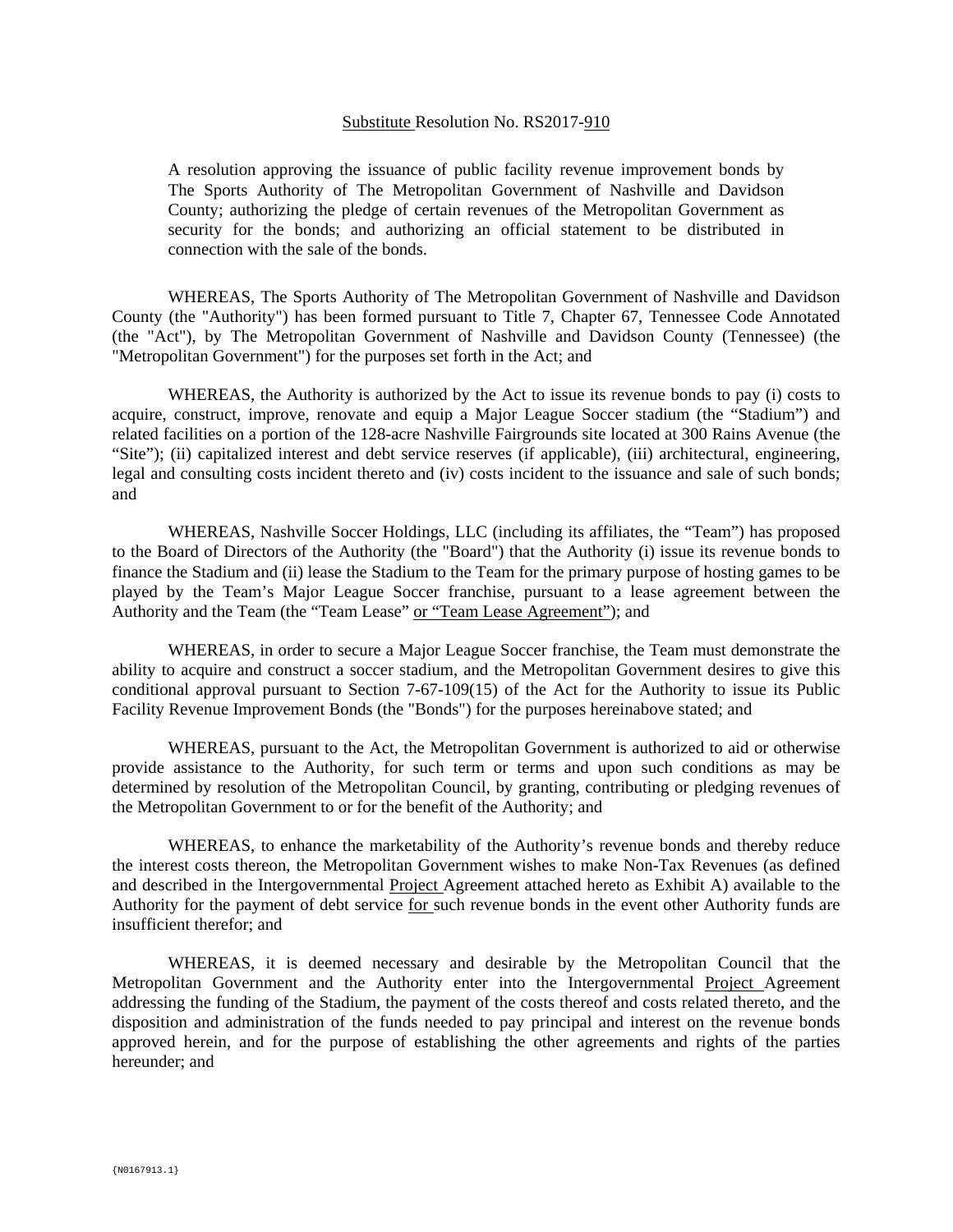## Substitute Resolution No. RS2017-910

A resolution approving the issuance of public facility revenue improvement bonds by The Sports Authority of The Metropolitan Government of Nashville and Davidson County; authorizing the pledge of certain revenues of the Metropolitan Government as security for the bonds; and authorizing an official statement to be distributed in connection with the sale of the bonds.

WHEREAS, The Sports Authority of The Metropolitan Government of Nashville and Davidson County (the "Authority") has been formed pursuant to Title 7, Chapter 67, Tennessee Code Annotated (the "Act"), by The Metropolitan Government of Nashville and Davidson County (Tennessee) (the "Metropolitan Government") for the purposes set forth in the Act; and

WHEREAS, the Authority is authorized by the Act to issue its revenue bonds to pay (i) costs to acquire, construct, improve, renovate and equip a Major League Soccer stadium (the "Stadium") and related facilities on a portion of the 128-acre Nashville Fairgrounds site located at 300 Rains Avenue (the "Site"); (ii) capitalized interest and debt service reserves (if applicable), (iii) architectural, engineering, legal and consulting costs incident thereto and (iv) costs incident to the issuance and sale of such bonds; and

WHEREAS, Nashville Soccer Holdings, LLC (including its affiliates, the "Team") has proposed to the Board of Directors of the Authority (the "Board") that the Authority (i) issue its revenue bonds to finance the Stadium and (ii) lease the Stadium to the Team for the primary purpose of hosting games to be played by the Team's Major League Soccer franchise, pursuant to a lease agreement between the Authority and the Team (the "Team Lease" or "Team Lease Agreement"); and

WHEREAS, in order to secure a Major League Soccer franchise, the Team must demonstrate the ability to acquire and construct a soccer stadium, and the Metropolitan Government desires to give this conditional approval pursuant to Section 7-67-109(15) of the Act for the Authority to issue its Public Facility Revenue Improvement Bonds (the "Bonds") for the purposes hereinabove stated; and

WHEREAS, pursuant to the Act, the Metropolitan Government is authorized to aid or otherwise provide assistance to the Authority, for such term or terms and upon such conditions as may be determined by resolution of the Metropolitan Council, by granting, contributing or pledging revenues of the Metropolitan Government to or for the benefit of the Authority; and

WHEREAS, to enhance the marketability of the Authority's revenue bonds and thereby reduce the interest costs thereon, the Metropolitan Government wishes to make Non-Tax Revenues (as defined and described in the Intergovernmental Project Agreement attached hereto as Exhibit A) available to the Authority for the payment of debt service for such revenue bonds in the event other Authority funds are insufficient therefor; and

WHEREAS, it is deemed necessary and desirable by the Metropolitan Council that the Metropolitan Government and the Authority enter into the Intergovernmental Project Agreement addressing the funding of the Stadium, the payment of the costs thereof and costs related thereto, and the disposition and administration of the funds needed to pay principal and interest on the revenue bonds approved herein, and for the purpose of establishing the other agreements and rights of the parties hereunder; and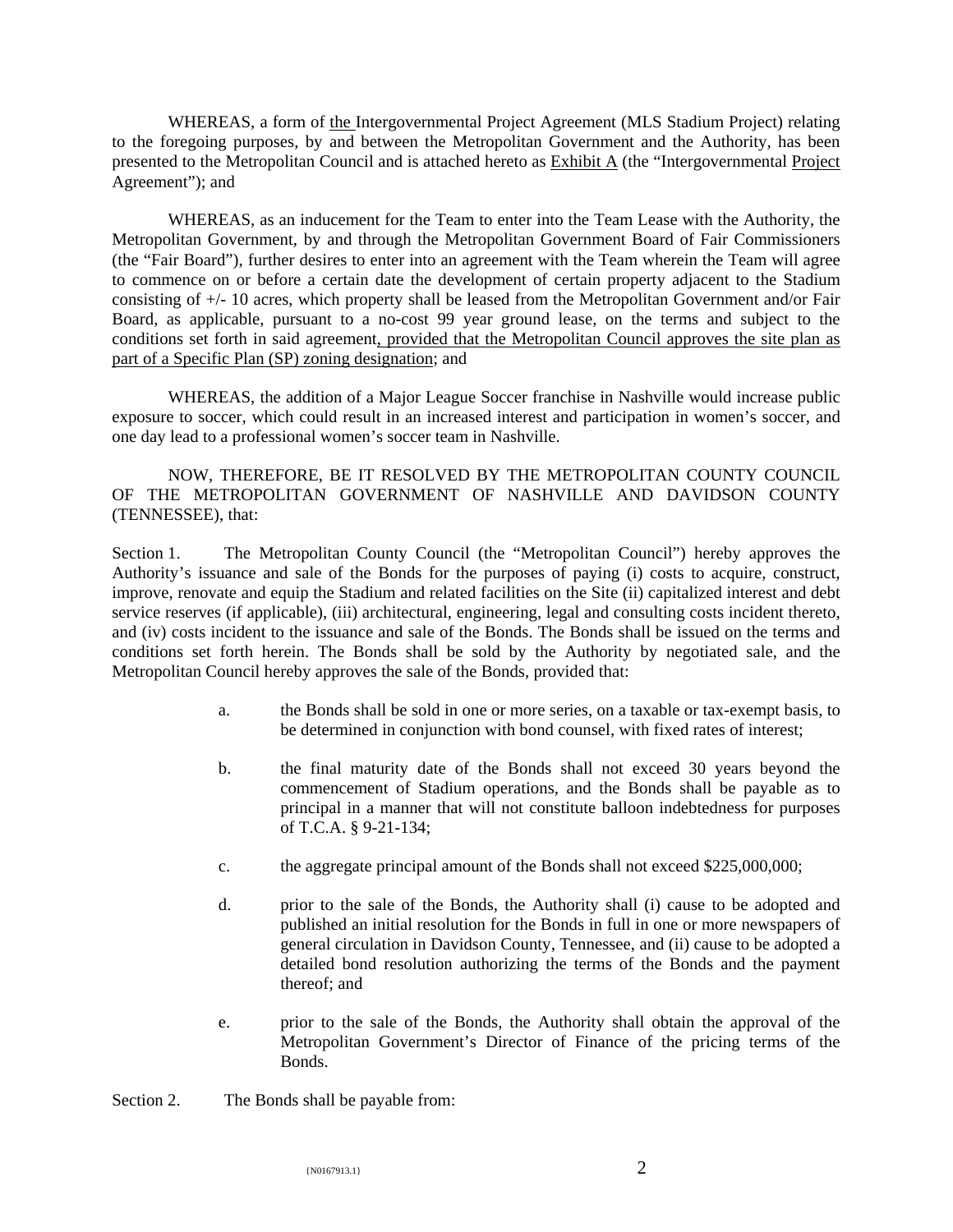WHEREAS, a form of the Intergovernmental Project Agreement (MLS Stadium Project) relating to the foregoing purposes, by and between the Metropolitan Government and the Authority, has been presented to the Metropolitan Council and is attached hereto as **Exhibit A** (the "Intergovernmental Project Agreement"); and

WHEREAS, as an inducement for the Team to enter into the Team Lease with the Authority, the Metropolitan Government, by and through the Metropolitan Government Board of Fair Commissioners (the "Fair Board"), further desires to enter into an agreement with the Team wherein the Team will agree to commence on or before a certain date the development of certain property adjacent to the Stadium consisting of +/- 10 acres, which property shall be leased from the Metropolitan Government and/or Fair Board, as applicable, pursuant to a no-cost 99 year ground lease, on the terms and subject to the conditions set forth in said agreement, provided that the Metropolitan Council approves the site plan as part of a Specific Plan (SP) zoning designation; and

WHEREAS, the addition of a Major League Soccer franchise in Nashville would increase public exposure to soccer, which could result in an increased interest and participation in women's soccer, and one day lead to a professional women's soccer team in Nashville.

NOW, THEREFORE, BE IT RESOLVED BY THE METROPOLITAN COUNTY COUNCIL OF THE METROPOLITAN GOVERNMENT OF NASHVILLE AND DAVIDSON COUNTY (TENNESSEE), that:

Section 1. The Metropolitan County Council (the "Metropolitan Council") hereby approves the Authority's issuance and sale of the Bonds for the purposes of paying (i) costs to acquire, construct, improve, renovate and equip the Stadium and related facilities on the Site (ii) capitalized interest and debt service reserves (if applicable), (iii) architectural, engineering, legal and consulting costs incident thereto, and (iv) costs incident to the issuance and sale of the Bonds. The Bonds shall be issued on the terms and conditions set forth herein. The Bonds shall be sold by the Authority by negotiated sale, and the Metropolitan Council hereby approves the sale of the Bonds, provided that:

- a. the Bonds shall be sold in one or more series, on a taxable or tax-exempt basis, to be determined in conjunction with bond counsel, with fixed rates of interest;
- b. the final maturity date of the Bonds shall not exceed 30 years beyond the commencement of Stadium operations, and the Bonds shall be payable as to principal in a manner that will not constitute balloon indebtedness for purposes of T.C.A. § 9-21-134;
- c. the aggregate principal amount of the Bonds shall not exceed \$225,000,000;
- d. prior to the sale of the Bonds, the Authority shall (i) cause to be adopted and published an initial resolution for the Bonds in full in one or more newspapers of general circulation in Davidson County, Tennessee, and (ii) cause to be adopted a detailed bond resolution authorizing the terms of the Bonds and the payment thereof; and
- e. prior to the sale of the Bonds, the Authority shall obtain the approval of the Metropolitan Government's Director of Finance of the pricing terms of the Bonds.

Section 2. The Bonds shall be payable from: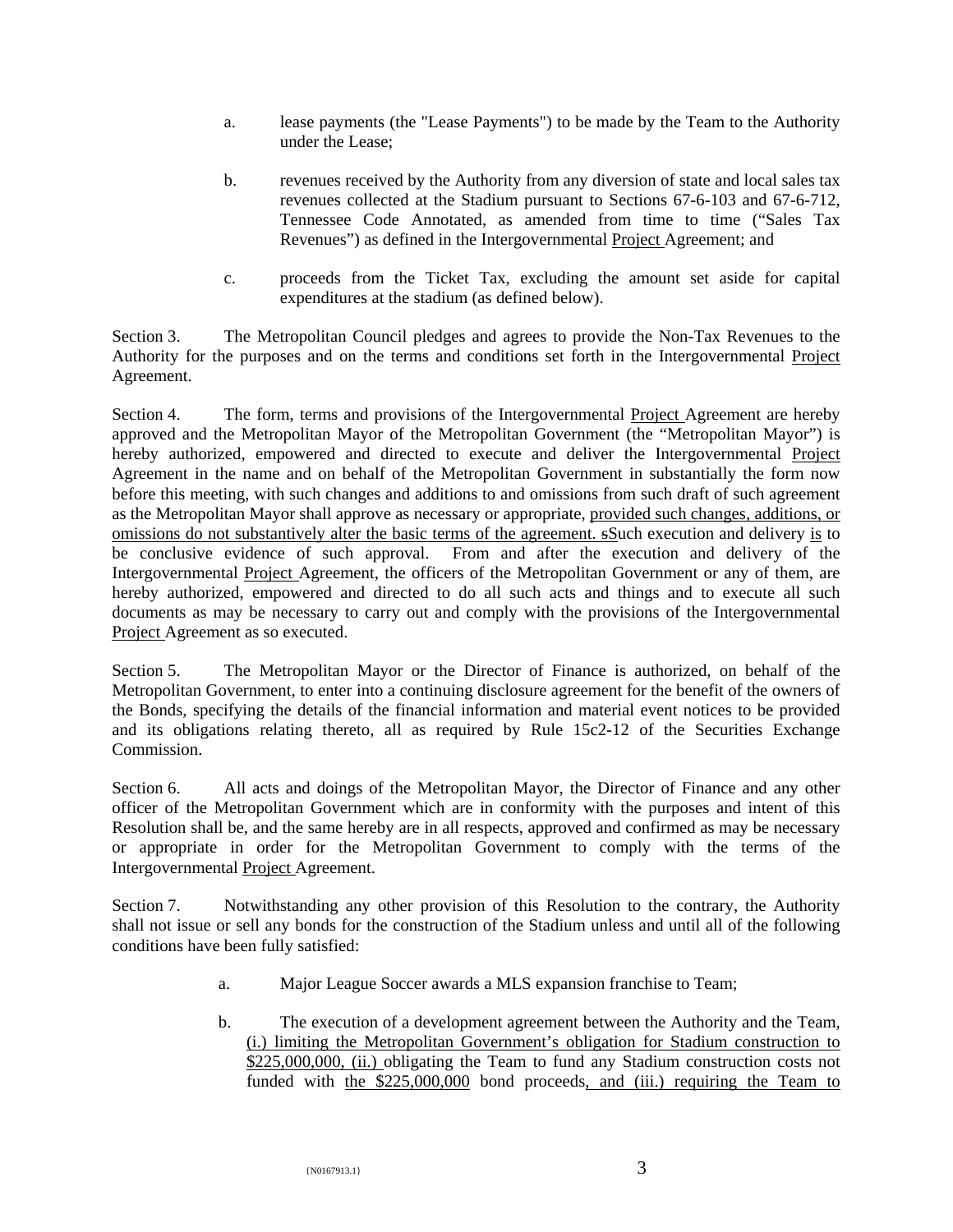- a. lease payments (the "Lease Payments") to be made by the Team to the Authority under the Lease;
- b. revenues received by the Authority from any diversion of state and local sales tax revenues collected at the Stadium pursuant to Sections 67-6-103 and 67-6-712, Tennessee Code Annotated, as amended from time to time ("Sales Tax Revenues") as defined in the Intergovernmental Project Agreement; and
- c. proceeds from the Ticket Tax, excluding the amount set aside for capital expenditures at the stadium (as defined below).

Section 3. The Metropolitan Council pledges and agrees to provide the Non-Tax Revenues to the Authority for the purposes and on the terms and conditions set forth in the Intergovernmental Project Agreement.

Section 4. The form, terms and provisions of the Intergovernmental Project Agreement are hereby approved and the Metropolitan Mayor of the Metropolitan Government (the "Metropolitan Mayor") is hereby authorized, empowered and directed to execute and deliver the Intergovernmental Project Agreement in the name and on behalf of the Metropolitan Government in substantially the form now before this meeting, with such changes and additions to and omissions from such draft of such agreement as the Metropolitan Mayor shall approve as necessary or appropriate, provided such changes, additions, or omissions do not substantively alter the basic terms of the agreement. sSuch execution and delivery is to be conclusive evidence of such approval. From and after the execution and delivery of the Intergovernmental Project Agreement, the officers of the Metropolitan Government or any of them, are hereby authorized, empowered and directed to do all such acts and things and to execute all such documents as may be necessary to carry out and comply with the provisions of the Intergovernmental Project Agreement as so executed.

Section 5. The Metropolitan Mayor or the Director of Finance is authorized, on behalf of the Metropolitan Government, to enter into a continuing disclosure agreement for the benefit of the owners of the Bonds, specifying the details of the financial information and material event notices to be provided and its obligations relating thereto, all as required by Rule 15c2-12 of the Securities Exchange Commission.

Section 6. All acts and doings of the Metropolitan Mayor, the Director of Finance and any other officer of the Metropolitan Government which are in conformity with the purposes and intent of this Resolution shall be, and the same hereby are in all respects, approved and confirmed as may be necessary or appropriate in order for the Metropolitan Government to comply with the terms of the Intergovernmental Project Agreement.

Section 7. Notwithstanding any other provision of this Resolution to the contrary, the Authority shall not issue or sell any bonds for the construction of the Stadium unless and until all of the following conditions have been fully satisfied:

- a. Major League Soccer awards a MLS expansion franchise to Team;
- b. The execution of a development agreement between the Authority and the Team, (i.) limiting the Metropolitan Government's obligation for Stadium construction to \$225,000,000, (ii.) obligating the Team to fund any Stadium construction costs not funded with the \$225,000,000 bond proceeds, and (iii.) requiring the Team to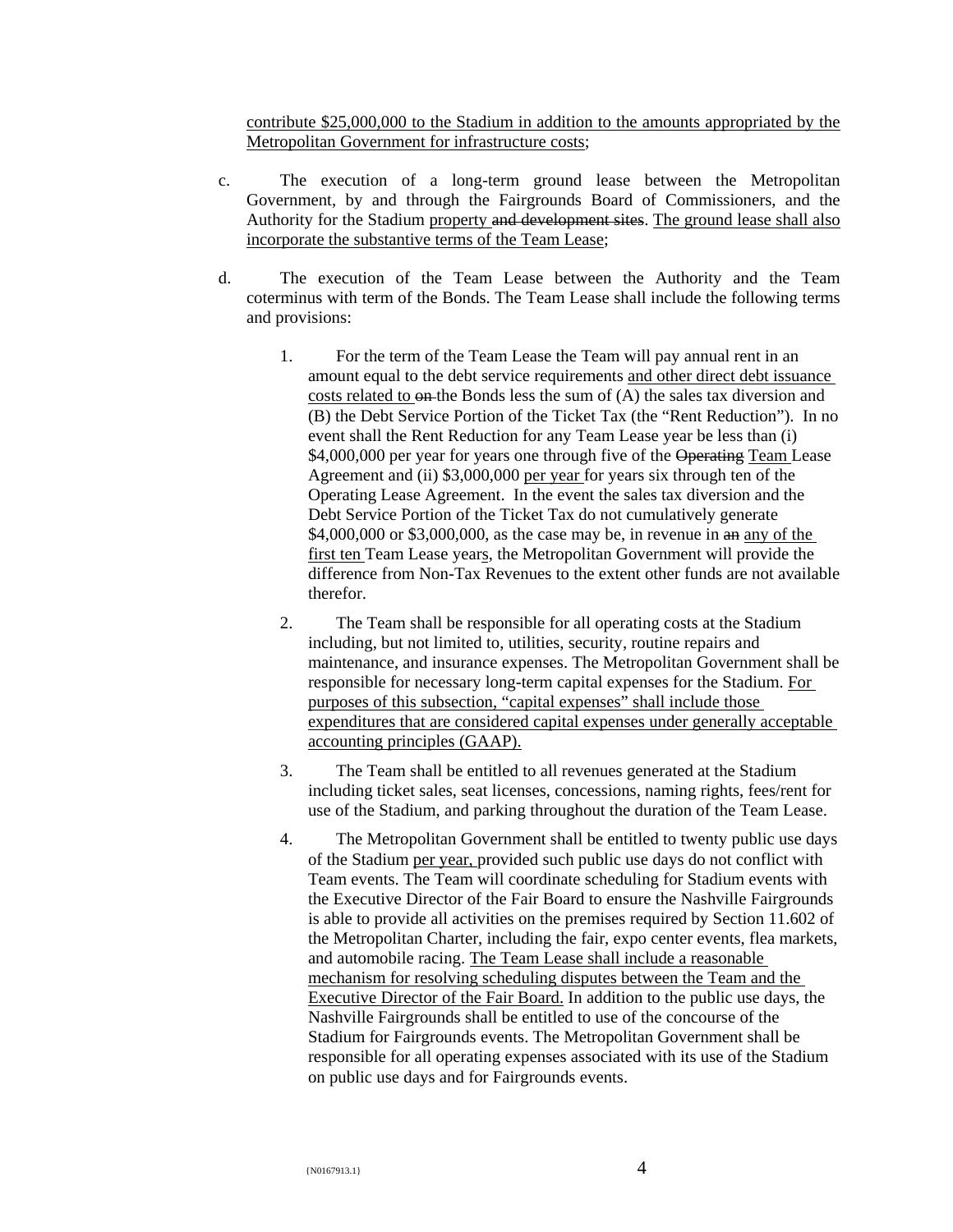contribute \$25,000,000 to the Stadium in addition to the amounts appropriated by the Metropolitan Government for infrastructure costs;

- c. The execution of a long-term ground lease between the Metropolitan Government, by and through the Fairgrounds Board of Commissioners, and the Authority for the Stadium property and development sites. The ground lease shall also incorporate the substantive terms of the Team Lease;
- d. The execution of the Team Lease between the Authority and the Team coterminus with term of the Bonds. The Team Lease shall include the following terms and provisions:
	- 1. For the term of the Team Lease the Team will pay annual rent in an amount equal to the debt service requirements and other direct debt issuance costs related to  $\theta$  the Bonds less the sum of  $(A)$  the sales tax diversion and (B) the Debt Service Portion of the Ticket Tax (the "Rent Reduction"). In no event shall the Rent Reduction for any Team Lease year be less than (i) \$4,000,000 per year for years one through five of the Operating Team Lease Agreement and (ii) \$3,000,000 per year for years six through ten of the Operating Lease Agreement. In the event the sales tax diversion and the Debt Service Portion of the Ticket Tax do not cumulatively generate \$4,000,000 or \$3,000,000, as the case may be, in revenue in an any of the first ten Team Lease years, the Metropolitan Government will provide the difference from Non-Tax Revenues to the extent other funds are not available therefor.
	- 2. The Team shall be responsible for all operating costs at the Stadium including, but not limited to, utilities, security, routine repairs and maintenance, and insurance expenses. The Metropolitan Government shall be responsible for necessary long-term capital expenses for the Stadium. For purposes of this subsection, "capital expenses" shall include those expenditures that are considered capital expenses under generally acceptable accounting principles (GAAP).
	- 3. The Team shall be entitled to all revenues generated at the Stadium including ticket sales, seat licenses, concessions, naming rights, fees/rent for use of the Stadium, and parking throughout the duration of the Team Lease.
	- 4. The Metropolitan Government shall be entitled to twenty public use days of the Stadium per year, provided such public use days do not conflict with Team events. The Team will coordinate scheduling for Stadium events with the Executive Director of the Fair Board to ensure the Nashville Fairgrounds is able to provide all activities on the premises required by Section 11.602 of the Metropolitan Charter, including the fair, expo center events, flea markets, and automobile racing. The Team Lease shall include a reasonable mechanism for resolving scheduling disputes between the Team and the Executive Director of the Fair Board. In addition to the public use days, the Nashville Fairgrounds shall be entitled to use of the concourse of the Stadium for Fairgrounds events. The Metropolitan Government shall be responsible for all operating expenses associated with its use of the Stadium on public use days and for Fairgrounds events.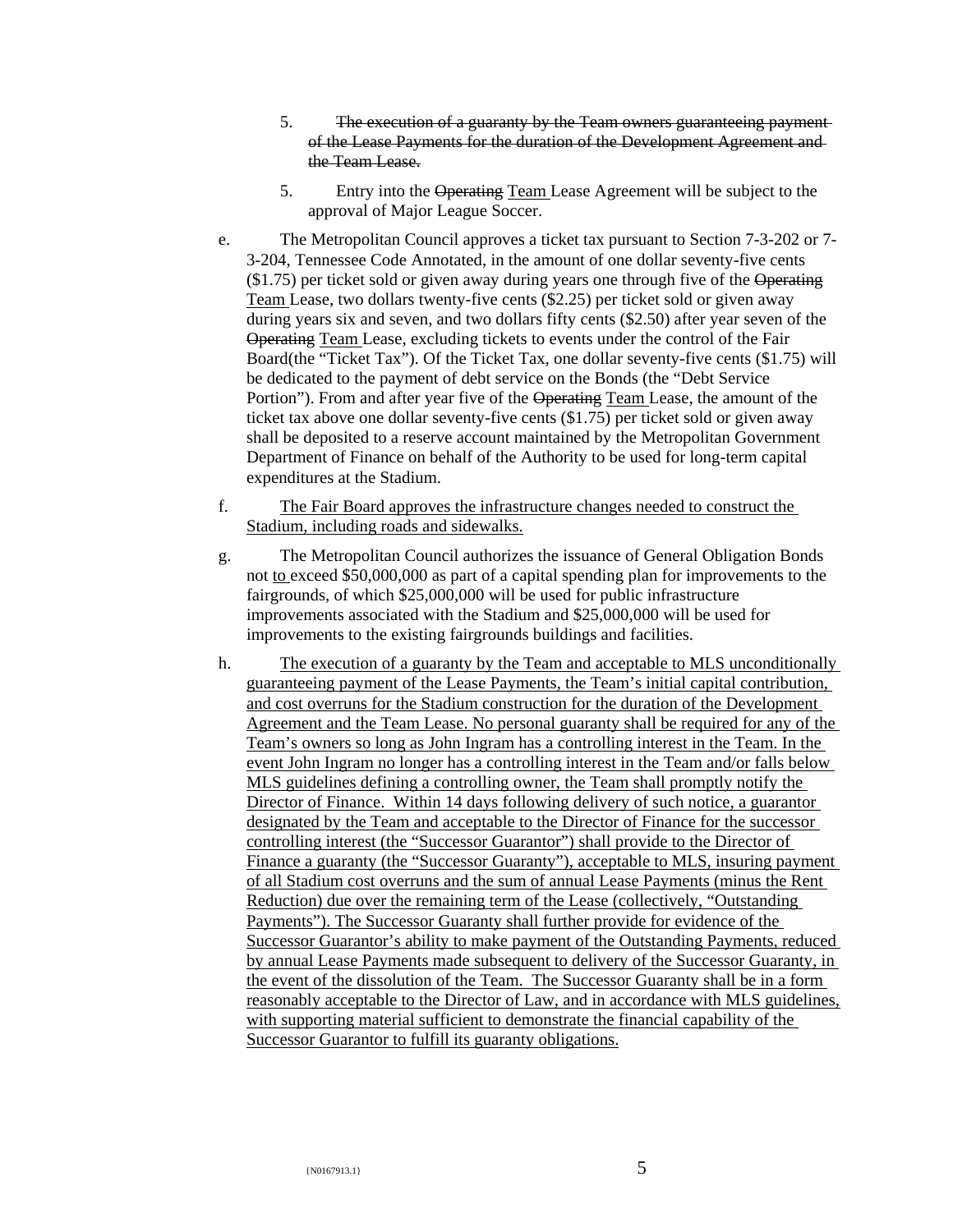- 5. The execution of a guaranty by the Team owners guaranteeing payment of the Lease Payments for the duration of the Development Agreement and the Team Lease.
- 5. Entry into the Operating Team Lease Agreement will be subject to the approval of Major League Soccer.
- e. The Metropolitan Council approves a ticket tax pursuant to Section 7-3-202 or 7- 3-204, Tennessee Code Annotated, in the amount of one dollar seventy-five cents  $(1.75)$  per ticket sold or given away during years one through five of the Operating Team Lease, two dollars twenty-five cents (\$2.25) per ticket sold or given away during years six and seven, and two dollars fifty cents (\$2.50) after year seven of the Operating Team Lease, excluding tickets to events under the control of the Fair Board(the "Ticket Tax"). Of the Ticket Tax, one dollar seventy-five cents (\$1.75) will be dedicated to the payment of debt service on the Bonds (the "Debt Service Portion"). From and after year five of the Operating Team Lease, the amount of the ticket tax above one dollar seventy-five cents (\$1.75) per ticket sold or given away shall be deposited to a reserve account maintained by the Metropolitan Government Department of Finance on behalf of the Authority to be used for long-term capital expenditures at the Stadium.
- f. The Fair Board approves the infrastructure changes needed to construct the Stadium, including roads and sidewalks.
- g. The Metropolitan Council authorizes the issuance of General Obligation Bonds not to exceed \$50,000,000 as part of a capital spending plan for improvements to the fairgrounds, of which \$25,000,000 will be used for public infrastructure improvements associated with the Stadium and \$25,000,000 will be used for improvements to the existing fairgrounds buildings and facilities.
- h. The execution of a guaranty by the Team and acceptable to MLS unconditionally guaranteeing payment of the Lease Payments, the Team's initial capital contribution, and cost overruns for the Stadium construction for the duration of the Development Agreement and the Team Lease. No personal guaranty shall be required for any of the Team's owners so long as John Ingram has a controlling interest in the Team. In the event John Ingram no longer has a controlling interest in the Team and/or falls below MLS guidelines defining a controlling owner, the Team shall promptly notify the Director of Finance. Within 14 days following delivery of such notice, a guarantor designated by the Team and acceptable to the Director of Finance for the successor controlling interest (the "Successor Guarantor") shall provide to the Director of Finance a guaranty (the "Successor Guaranty"), acceptable to MLS, insuring payment of all Stadium cost overruns and the sum of annual Lease Payments (minus the Rent Reduction) due over the remaining term of the Lease (collectively, "Outstanding Payments"). The Successor Guaranty shall further provide for evidence of the Successor Guarantor's ability to make payment of the Outstanding Payments, reduced by annual Lease Payments made subsequent to delivery of the Successor Guaranty, in the event of the dissolution of the Team. The Successor Guaranty shall be in a form reasonably acceptable to the Director of Law, and in accordance with MLS guidelines, with supporting material sufficient to demonstrate the financial capability of the Successor Guarantor to fulfill its guaranty obligations.